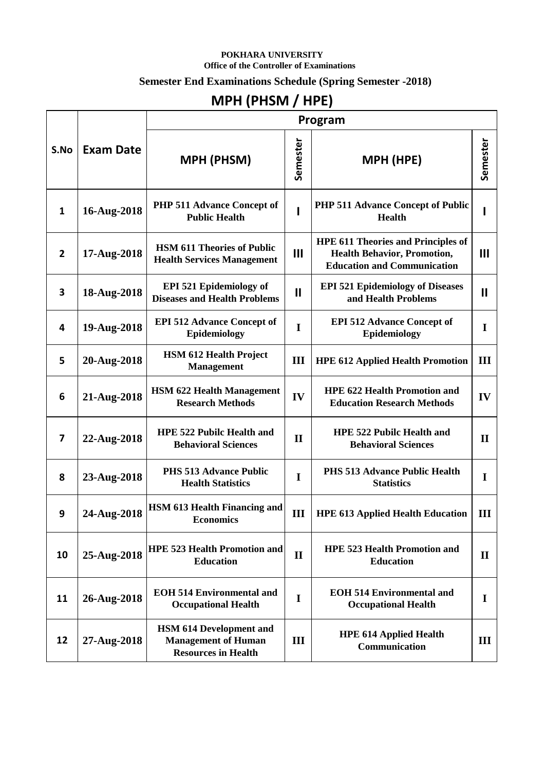#### **POKHARA UNIVERSITY Office of the Controller of Examinations**

#### **Semester End Examinations Schedule (Spring Semester -2018)**

# **MPH (PHSM / HPE)**

| S.No           | <b>Exam Date</b> | Program                                                                                    |              |                                                                                                                       |                |  |
|----------------|------------------|--------------------------------------------------------------------------------------------|--------------|-----------------------------------------------------------------------------------------------------------------------|----------------|--|
|                |                  | <b>MPH (PHSM)</b>                                                                          | Semester     | <b>MPH (HPE)</b>                                                                                                      | Semester       |  |
| $\mathbf{1}$   | 16-Aug-2018      | <b>PHP 511 Advance Concept of</b><br><b>Public Health</b>                                  |              | <b>PHP 511 Advance Concept of Public</b><br><b>Health</b>                                                             |                |  |
| $\overline{2}$ | 17-Aug-2018      | <b>HSM 611 Theories of Public</b><br><b>Health Services Management</b>                     | III          | <b>HPE 611 Theories and Principles of</b><br><b>Health Behavior, Promotion,</b><br><b>Education and Communication</b> | $\mathbf{III}$ |  |
| 3              | 18-Aug-2018      | <b>EPI 521 Epidemiology of</b><br><b>Diseases and Health Problems</b>                      | $\mathbf{I}$ | <b>EPI 521 Epidemiology of Diseases</b><br>and Health Problems                                                        | Ш              |  |
| 4              | 19-Aug-2018      | <b>EPI 512 Advance Concept of</b><br>Epidemiology                                          | I            | <b>EPI 512 Advance Concept of</b><br>Epidemiology                                                                     | I              |  |
| 5              | 20-Aug-2018      | <b>HSM 612 Health Project</b><br><b>Management</b>                                         | III          | <b>HPE 612 Applied Health Promotion</b>                                                                               | III            |  |
| 6              | 21-Aug-2018      | <b>HSM 622 Health Management</b><br><b>Research Methods</b>                                | IV           | <b>HPE 622 Health Promotion and</b><br><b>Education Research Methods</b>                                              | IV             |  |
| 7              | 22-Aug-2018      | <b>HPE 522 Pubilc Health and</b><br><b>Behavioral Sciences</b>                             | $\mathbf{I}$ | <b>HPE 522 Pubilc Health and</b><br><b>Behavioral Sciences</b>                                                        | $\mathbf{I}$   |  |
| 8              | 23-Aug-2018      | <b>PHS 513 Advance Public</b><br><b>Health Statistics</b>                                  | $\mathbf I$  | <b>PHS 513 Advance Public Health</b><br><b>Statistics</b>                                                             | I              |  |
| 9              | 24-Aug-2018      | HSM 613 Health Financing and<br><b>Economics</b>                                           | III          | <b>HPE 613 Applied Health Education</b>                                                                               | Ш              |  |
| 10             | 25-Aug-2018      | <b>HPE 523 Health Promotion and</b><br><b>Education</b>                                    | $\mathbf{I}$ | <b>HPE 523 Health Promotion and</b><br><b>Education</b>                                                               | $\mathbf{I}$   |  |
| 11             | 26-Aug-2018      | <b>EOH 514 Environmental and</b><br><b>Occupational Health</b>                             | $\mathbf I$  | <b>EOH 514 Environmental and</b><br><b>Occupational Health</b>                                                        | I              |  |
| 12             | 27-Aug-2018      | <b>HSM 614 Development and</b><br><b>Management of Human</b><br><b>Resources in Health</b> | III          | <b>HPE 614 Applied Health</b><br>Communication                                                                        | III            |  |